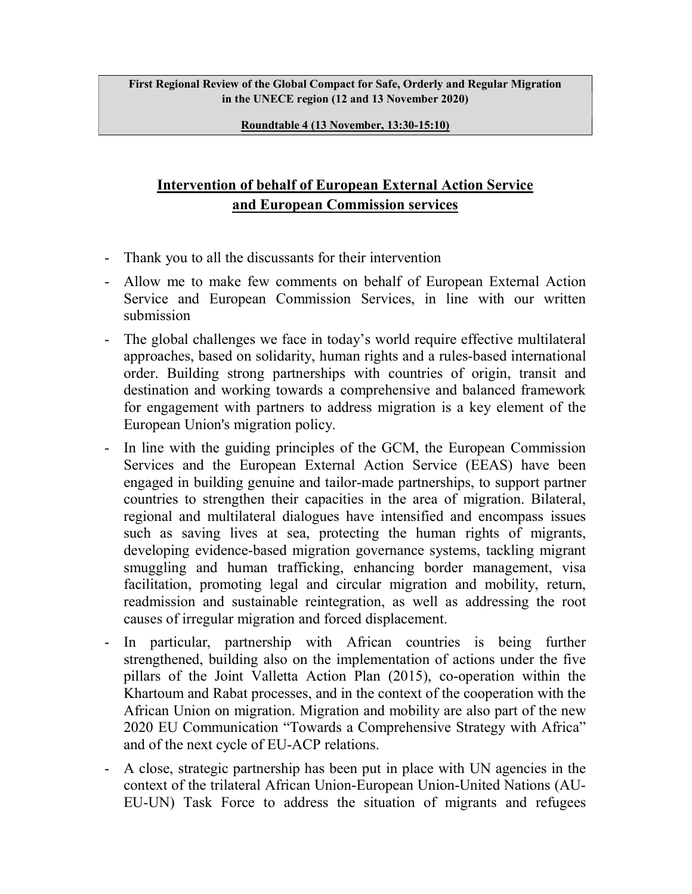First Regional Review of the Global Compact for Safe, Orderly and Regular Migration in the UNECE region (12 and 13 November 2020)

Roundtable 4 (13 November, 13:30-15:10)

## Intervention of behalf of European External Action Service and European Commission services

- Thank you to all the discussants for their intervention
- Allow me to make few comments on behalf of European External Action Service and European Commission Services, in line with our written submission
- The global challenges we face in today's world require effective multilateral approaches, based on solidarity, human rights and a rules-based international order. Building strong partnerships with countries of origin, transit and destination and working towards a comprehensive and balanced framework for engagement with partners to address migration is a key element of the European Union's migration policy.
- In line with the guiding principles of the GCM, the European Commission Services and the European External Action Service (EEAS) have been engaged in building genuine and tailor-made partnerships, to support partner countries to strengthen their capacities in the area of migration. Bilateral, regional and multilateral dialogues have intensified and encompass issues such as saving lives at sea, protecting the human rights of migrants, developing evidence-based migration governance systems, tackling migrant smuggling and human trafficking, enhancing border management, visa facilitation, promoting legal and circular migration and mobility, return, readmission and sustainable reintegration, as well as addressing the root causes of irregular migration and forced displacement.
- In particular, partnership with African countries is being further strengthened, building also on the implementation of actions under the five pillars of the Joint Valletta Action Plan (2015), co-operation within the Khartoum and Rabat processes, and in the context of the cooperation with the African Union on migration. Migration and mobility are also part of the new 2020 EU Communication "Towards a Comprehensive Strategy with Africa" and of the next cycle of EU-ACP relations.
- A close, strategic partnership has been put in place with UN agencies in the context of the trilateral African Union-European Union-United Nations (AU-EU-UN) Task Force to address the situation of migrants and refugees